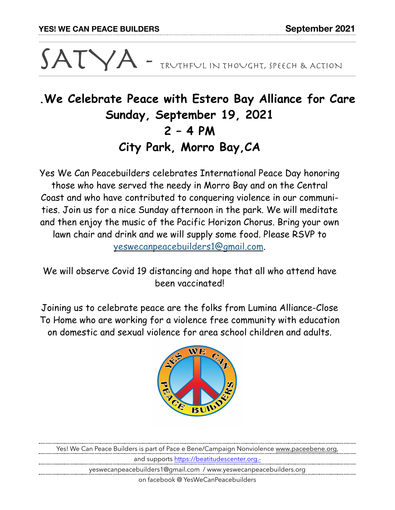# $SATVA$  - TRUTHFUL IN THOUGHT, SPEECH & ACTION

## **.We Celebrate Peace with Estero Bay Alliance for Care Sunday, September 19, 2021 2 – 4 PM City Park, Morro Bay,CA**

Yes We Can Peacebuilders celebrates International Peace Day honoring those who have served the needy in Morro Bay and on the Central Coast and who have contributed to conquering violence in our communities. Join us for a nice Sunday afternoon in the park. We will meditate and then enjoy the music of the Pacific Horizon Chorus. Bring your own lawn chair and drink and we will supply some food. Please RSVP to [yeswecanpeacebuilders1@gmail.com](mailto:yeswecanpeacebuilders1@gmail.com).

We will observe Covid 19 distancing and hope that all who attend have been vaccinated!

Joining us to celebrate peace are the folks from Lumina Alliance-Close To Home who are working for a violence free community with education on domestic and sexual violence for area school children and adults.



Yes! We Can Peace Builders is part of Pace e Bene/Campaign Nonviolence [www.paceebene.org,](http://www.paceebene.org) and supports [https://beatitudescenter.org.](https://beatitudescenter.org.-) yeswecanpeacebuilders1@gmail.com / www.yeswecanpeacebuilders.org

on facebook @ YesWeCanPeacebuilders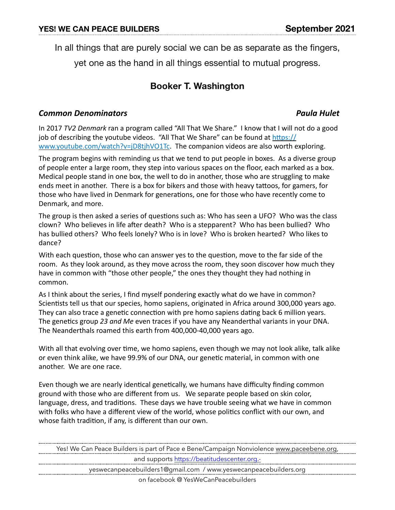In all things that are purely social we can be as separate as the fingers,

yet one as the hand in all things essential to mutual progress.

### **Booker T. Washington**

#### *Common Denominators Paula Hulet*

In 2017 *TV2 Denmark* ran a program called "All That We Share." I know that I will not do a good job of describing the youtube videos. "All That We Share" can be found at https:// [www.youtube.com/watch?v=jD8tjhVO1Tc](https://www.youtube.com/watch?v=jD8tjhVO1Tc). The companion videos are also worth exploring.

The program begins with reminding us that we tend to put people in boxes. As a diverse group of people enter a large room, they step into various spaces on the floor, each marked as a box. Medical people stand in one box, the well to do in another, those who are struggling to make ends meet in another. There is a box for bikers and those with heavy tattoos, for gamers, for those who have lived in Denmark for generations, one for those who have recently come to Denmark, and more.

The group is then asked a series of questions such as: Who has seen a UFO? Who was the class clown? Who believes in life after death? Who is a stepparent? Who has been bullied? Who has bullied others? Who feels lonely? Who is in love? Who is broken hearted? Who likes to dance?

With each question, those who can answer yes to the question, move to the far side of the room. As they look around, as they move across the room, they soon discover how much they have in common with "those other people," the ones they thought they had nothing in common. 

As I think about the series, I find myself pondering exactly what do we have in common? Scientists tell us that our species, homo sapiens, originated in Africa around 300,000 years ago. They can also trace a genetic connection with pre homo sapiens dating back 6 million years. The genetics group 23 and Me even traces if you have any Neanderthal variants in your DNA. The Neanderthals roamed this earth from 400,000-40,000 years ago.

With all that evolving over time, we homo sapiens, even though we may not look alike, talk alike or even think alike, we have 99.9% of our DNA, our genetic material, in common with one another. We are one race.

Even though we are nearly identical genetically, we humans have difficulty finding common ground with those who are different from us. We separate people based on skin color, language, dress, and traditions. These days we have trouble seeing what we have in common with folks who have a different view of the world, whose politics conflict with our own, and whose faith tradition, if any, is different than our own.

Yes! We Can Peace Builders is part of Pace e Bene/Campaign Nonviolence [www.paceebene.org,](http://www.paceebene.org) and supports<https://beatitudescenter.org.->

yeswecanpeacebuilders1@gmail.com / www.yeswecanpeacebuilders.org

on facebook @ YesWeCanPeacebuilders